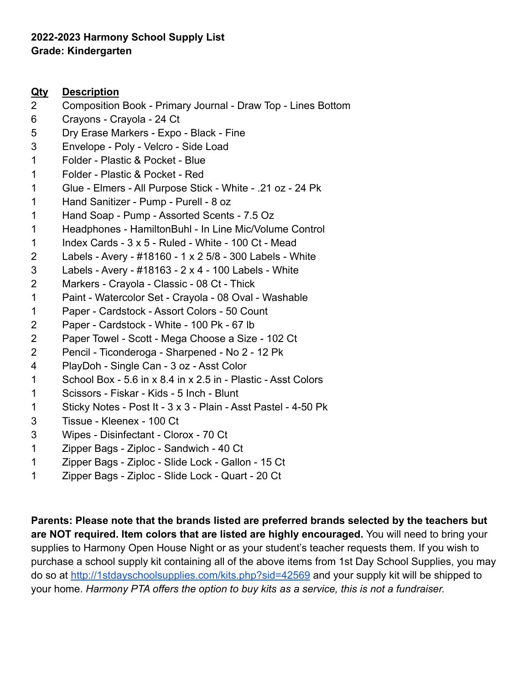# **2022-2023 Harmony School Supply List Grade: Kindergarten**

### **Qty Description**

- Composition Book Primary Journal Draw Top Lines Bottom
- Crayons Crayola 24 Ct
- Dry Erase Markers Expo Black Fine
- Envelope Poly Velcro Side Load
- Folder Plastic & Pocket Blue
- Folder Plastic & Pocket Red
- Glue Elmers All Purpose Stick White .21 oz 24 Pk
- Hand Sanitizer Pump Purell 8 oz
- Hand Soap Pump Assorted Scents 7.5 Oz
- Headphones HamiltonBuhl In Line Mic/Volume Control
- 1 Index Cards  $3 \times 5$  Ruled White 100 Ct Mead
- Labels Avery #18160 1 x 2 5/8 300 Labels White
- Labels Avery #18163 2 x 4 100 Labels White
- Markers Crayola Classic 08 Ct Thick
- Paint Watercolor Set Crayola 08 Oval Washable
- Paper Cardstock Assort Colors 50 Count
- Paper Cardstock White 100 Pk 67 lb
- Paper Towel Scott Mega Choose a Size 102 Ct
- Pencil Ticonderoga Sharpened No 2 12 Pk
- PlayDoh Single Can 3 oz Asst Color
- School Box 5.6 in x 8.4 in x 2.5 in Plastic Asst Colors
- Scissors Fiskar Kids 5 Inch Blunt
- Sticky Notes Post It 3 x 3 Plain Asst Pastel 4-50 Pk
- Tissue Kleenex 100 Ct
- Wipes Disinfectant Clorox 70 Ct
- Zipper Bags Ziploc Sandwich 40 Ct
- Zipper Bags Ziploc Slide Lock Gallon 15 Ct
- Zipper Bags Ziploc Slide Lock Quart 20 Ct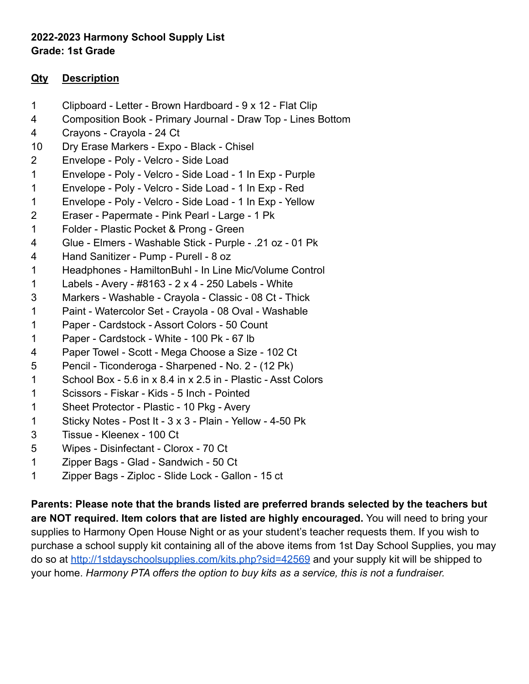# **2022-2023 Harmony School Supply List Grade: 1st Grade**

### **Qty Description**

- Clipboard Letter Brown Hardboard 9 x 12 Flat Clip
- Composition Book Primary Journal Draw Top Lines Bottom
- Crayons Crayola 24 Ct
- Dry Erase Markers Expo Black Chisel
- Envelope Poly Velcro Side Load
- Envelope Poly Velcro Side Load 1 In Exp Purple
- Envelope Poly Velcro Side Load 1 In Exp Red
- Envelope Poly Velcro Side Load 1 In Exp Yellow
- Eraser Papermate Pink Pearl Large 1 Pk
- Folder Plastic Pocket & Prong Green
- Glue Elmers Washable Stick Purple .21 oz 01 Pk
- Hand Sanitizer Pump Purell 8 oz
- Headphones HamiltonBuhl In Line Mic/Volume Control
- Labels Avery #8163 2 x 4 250 Labels White
- Markers Washable Crayola Classic 08 Ct Thick
- Paint Watercolor Set Crayola 08 Oval Washable
- Paper Cardstock Assort Colors 50 Count
- Paper Cardstock White 100 Pk 67 lb
- Paper Towel Scott Mega Choose a Size 102 Ct
- Pencil Ticonderoga Sharpened No. 2 (12 Pk)
- School Box 5.6 in x 8.4 in x 2.5 in Plastic Asst Colors
- Scissors Fiskar Kids 5 Inch Pointed
- Sheet Protector Plastic 10 Pkg Avery
- Sticky Notes Post It 3 x 3 Plain Yellow 4-50 Pk
- Tissue Kleenex 100 Ct
- Wipes Disinfectant Clorox 70 Ct
- Zipper Bags Glad Sandwich 50 Ct
- Zipper Bags Ziploc Slide Lock Gallon 15 ct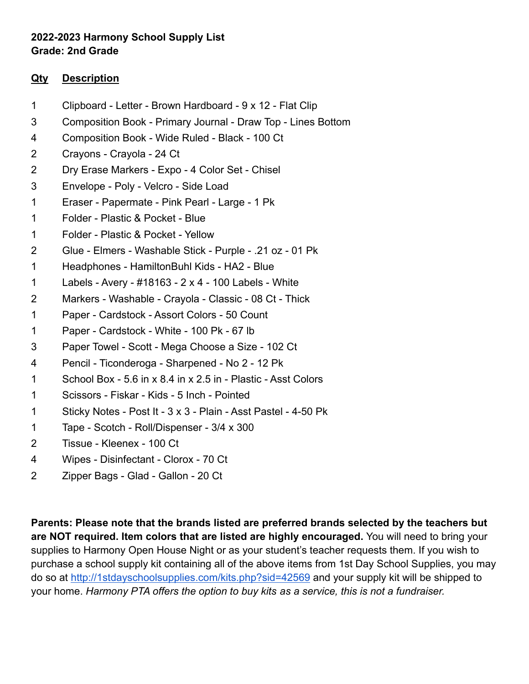# **2022-2023 Harmony School Supply List Grade: 2nd Grade**

### **Qty Description**

- Clipboard Letter Brown Hardboard 9 x 12 Flat Clip
- Composition Book Primary Journal Draw Top Lines Bottom
- Composition Book Wide Ruled Black 100 Ct
- Crayons Crayola 24 Ct
- Dry Erase Markers Expo 4 Color Set Chisel
- Envelope Poly Velcro Side Load
- Eraser Papermate Pink Pearl Large 1 Pk
- Folder Plastic & Pocket Blue
- Folder Plastic & Pocket Yellow
- Glue Elmers Washable Stick Purple .21 oz 01 Pk
- Headphones HamiltonBuhl Kids HA2 Blue
- Labels Avery #18163 2 x 4 100 Labels White
- Markers Washable Crayola Classic 08 Ct Thick
- Paper Cardstock Assort Colors 50 Count
- Paper Cardstock White 100 Pk 67 lb
- Paper Towel Scott Mega Choose a Size 102 Ct
- Pencil Ticonderoga Sharpened No 2 12 Pk
- School Box 5.6 in x 8.4 in x 2.5 in Plastic Asst Colors
- Scissors Fiskar Kids 5 Inch Pointed
- Sticky Notes Post It 3 x 3 Plain Asst Pastel 4-50 Pk
- Tape Scotch Roll/Dispenser 3/4 x 300
- Tissue Kleenex 100 Ct
- Wipes Disinfectant Clorox 70 Ct
- Zipper Bags Glad Gallon 20 Ct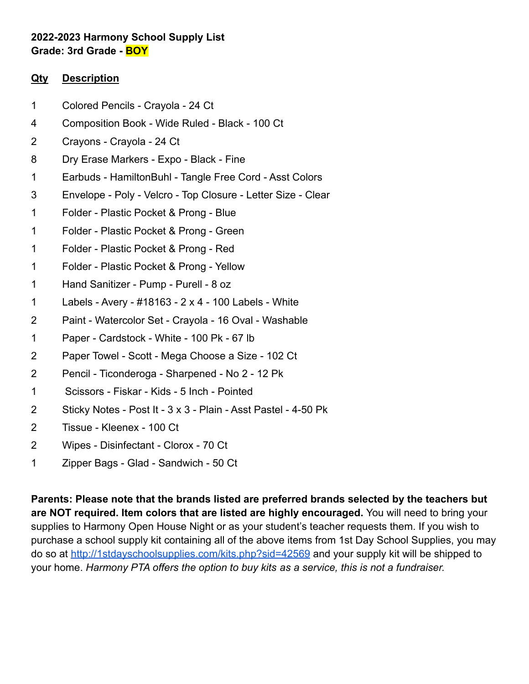# **2022-2023 Harmony School Supply List Grade: 3rd Grade - BOY**

### **Qty Description**

- Colored Pencils Crayola 24 Ct
- Composition Book Wide Ruled Black 100 Ct
- Crayons Crayola 24 Ct
- Dry Erase Markers Expo Black Fine
- Earbuds HamiltonBuhl Tangle Free Cord Asst Colors
- Envelope Poly Velcro Top Closure Letter Size Clear
- Folder Plastic Pocket & Prong Blue
- Folder Plastic Pocket & Prong Green
- Folder Plastic Pocket & Prong Red
- Folder Plastic Pocket & Prong Yellow
- Hand Sanitizer Pump Purell 8 oz
- Labels Avery #18163 2 x 4 100 Labels White
- Paint Watercolor Set Crayola 16 Oval Washable
- Paper Cardstock White 100 Pk 67 lb
- Paper Towel Scott Mega Choose a Size 102 Ct
- Pencil Ticonderoga Sharpened No 2 12 Pk
- Scissors Fiskar Kids 5 Inch Pointed
- Sticky Notes Post It 3 x 3 Plain Asst Pastel 4-50 Pk
- Tissue Kleenex 100 Ct
- Wipes Disinfectant Clorox 70 Ct
- Zipper Bags Glad Sandwich 50 Ct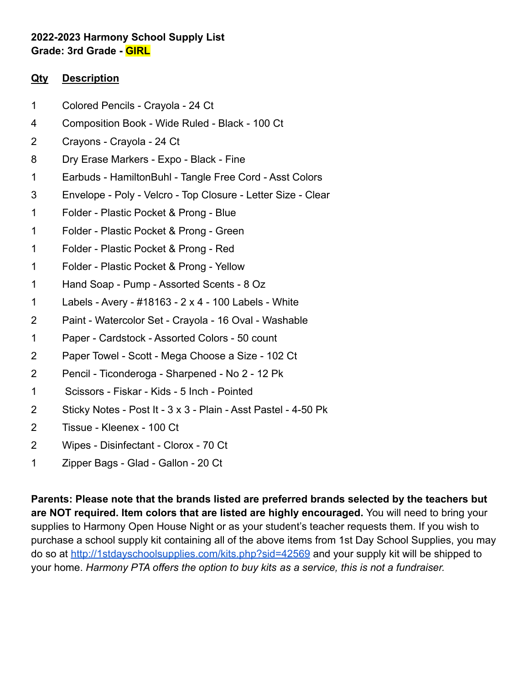# **2022-2023 Harmony School Supply List Grade: 3rd Grade - GIRL**

### **Qty Description**

- Colored Pencils Crayola 24 Ct
- Composition Book Wide Ruled Black 100 Ct
- Crayons Crayola 24 Ct
- Dry Erase Markers Expo Black Fine
- Earbuds HamiltonBuhl Tangle Free Cord Asst Colors
- Envelope Poly Velcro Top Closure Letter Size Clear
- Folder Plastic Pocket & Prong Blue
- Folder Plastic Pocket & Prong Green
- Folder Plastic Pocket & Prong Red
- Folder Plastic Pocket & Prong Yellow
- Hand Soap Pump Assorted Scents 8 Oz
- Labels Avery #18163 2 x 4 100 Labels White
- Paint Watercolor Set Crayola 16 Oval Washable
- Paper Cardstock Assorted Colors 50 count
- Paper Towel Scott Mega Choose a Size 102 Ct
- Pencil Ticonderoga Sharpened No 2 12 Pk
- Scissors Fiskar Kids 5 Inch Pointed
- Sticky Notes Post It 3 x 3 Plain Asst Pastel 4-50 Pk
- Tissue Kleenex 100 Ct
- Wipes Disinfectant Clorox 70 Ct
- Zipper Bags Glad Gallon 20 Ct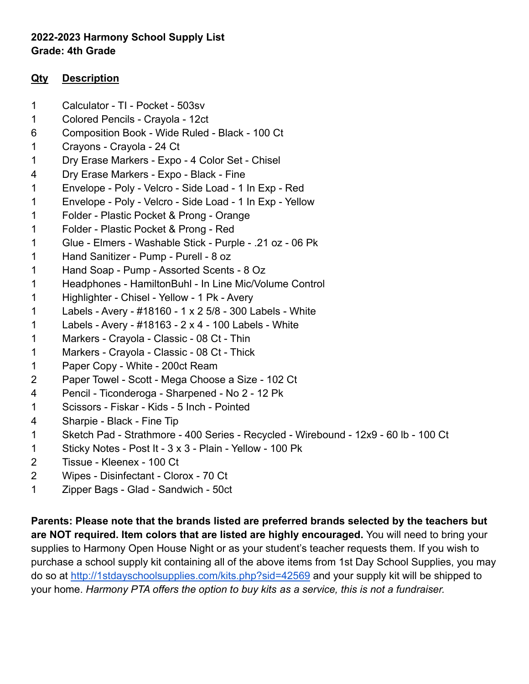# **2022-2023 Harmony School Supply List Grade: 4th Grade**

### **Qty Description**

- Calculator TI Pocket 503sv
- Colored Pencils Crayola 12ct
- Composition Book Wide Ruled Black 100 Ct
- Crayons Crayola 24 Ct
- Dry Erase Markers Expo 4 Color Set Chisel
- Dry Erase Markers Expo Black Fine
- Envelope Poly Velcro Side Load 1 In Exp Red
- Envelope Poly Velcro Side Load 1 In Exp Yellow
- Folder Plastic Pocket & Prong Orange
- Folder Plastic Pocket & Prong Red
- Glue Elmers Washable Stick Purple .21 oz 06 Pk
- Hand Sanitizer Pump Purell 8 oz
- Hand Soap Pump Assorted Scents 8 Oz
- Headphones HamiltonBuhl In Line Mic/Volume Control
- Highlighter Chisel Yellow 1 Pk Avery
- Labels Avery #18160 1 x 2 5/8 300 Labels White
- Labels Avery #18163 2 x 4 100 Labels White
- Markers Crayola Classic 08 Ct Thin
- Markers Crayola Classic 08 Ct Thick
- Paper Copy White 200ct Ream
- Paper Towel Scott Mega Choose a Size 102 Ct
- Pencil Ticonderoga Sharpened No 2 12 Pk
- Scissors Fiskar Kids 5 Inch Pointed
- Sharpie Black Fine Tip
- Sketch Pad Strathmore 400 Series Recycled Wirebound 12x9 60 lb 100 Ct
- Sticky Notes Post It 3 x 3 Plain Yellow 100 Pk
- Tissue Kleenex 100 Ct
- Wipes Disinfectant Clorox 70 Ct
- Zipper Bags Glad Sandwich 50ct